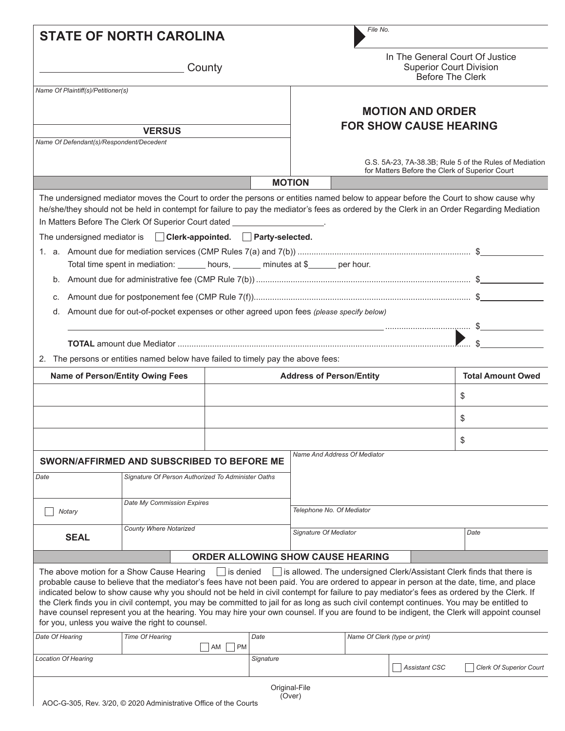| <b>STATE OF NORTH CAROLINA</b>                            |                                                                                                                                                                                                                                                                                                                                                                                                                                                                                                                                                                                                                                                                               |                                                                                                          |                                                                                       | File No.                      |                         |                                                                       |  |  |
|-----------------------------------------------------------|-------------------------------------------------------------------------------------------------------------------------------------------------------------------------------------------------------------------------------------------------------------------------------------------------------------------------------------------------------------------------------------------------------------------------------------------------------------------------------------------------------------------------------------------------------------------------------------------------------------------------------------------------------------------------------|----------------------------------------------------------------------------------------------------------|---------------------------------------------------------------------------------------|-------------------------------|-------------------------|-----------------------------------------------------------------------|--|--|
| County                                                    |                                                                                                                                                                                                                                                                                                                                                                                                                                                                                                                                                                                                                                                                               |                                                                                                          | In The General Court Of Justice<br><b>Superior Court Division</b><br>Before The Clerk |                               |                         |                                                                       |  |  |
| Name Of Plaintiff(s)/Petitioner(s)                        |                                                                                                                                                                                                                                                                                                                                                                                                                                                                                                                                                                                                                                                                               |                                                                                                          |                                                                                       |                               |                         |                                                                       |  |  |
|                                                           |                                                                                                                                                                                                                                                                                                                                                                                                                                                                                                                                                                                                                                                                               |                                                                                                          |                                                                                       |                               | <b>MOTION AND ORDER</b> |                                                                       |  |  |
|                                                           |                                                                                                                                                                                                                                                                                                                                                                                                                                                                                                                                                                                                                                                                               |                                                                                                          | <b>FOR SHOW CAUSE HEARING</b>                                                         |                               |                         |                                                                       |  |  |
| <b>VERSUS</b><br>Name Of Defendant(s)/Respondent/Decedent |                                                                                                                                                                                                                                                                                                                                                                                                                                                                                                                                                                                                                                                                               |                                                                                                          |                                                                                       |                               |                         |                                                                       |  |  |
|                                                           |                                                                                                                                                                                                                                                                                                                                                                                                                                                                                                                                                                                                                                                                               | G.S. 5A-23, 7A-38.3B; Rule 5 of the Rules of Mediation<br>for Matters Before the Clerk of Superior Court |                                                                                       |                               |                         |                                                                       |  |  |
|                                                           |                                                                                                                                                                                                                                                                                                                                                                                                                                                                                                                                                                                                                                                                               |                                                                                                          | <b>MOTION</b>                                                                         |                               |                         |                                                                       |  |  |
| The undersigned mediator is<br>C.<br>d.                   | The undersigned mediator moves the Court to order the persons or entities named below to appear before the Court to show cause why<br>he/she/they should not be held in contempt for failure to pay the mediator's fees as ordered by the Clerk in an Order Regarding Mediation<br>In Matters Before The Clerk Of Superior Court dated ____________________.<br>$\Box$ Clerk-appointed. $\Box$ Party-selected.<br>Total time spent in mediation: ______ hours, ______ minutes at \$_____ per hour.<br>Amount due for out-of-pocket expenses or other agreed upon fees (please specify below)                                                                                  |                                                                                                          |                                                                                       |                               |                         |                                                                       |  |  |
|                                                           | 2. The persons or entities named below have failed to timely pay the above fees:                                                                                                                                                                                                                                                                                                                                                                                                                                                                                                                                                                                              |                                                                                                          |                                                                                       |                               |                         |                                                                       |  |  |
|                                                           | <b>Name of Person/Entity Owing Fees</b>                                                                                                                                                                                                                                                                                                                                                                                                                                                                                                                                                                                                                                       | <b>Address of Person/Entity</b>                                                                          |                                                                                       |                               |                         | <b>Total Amount Owed</b>                                              |  |  |
|                                                           |                                                                                                                                                                                                                                                                                                                                                                                                                                                                                                                                                                                                                                                                               |                                                                                                          |                                                                                       |                               |                         | \$                                                                    |  |  |
|                                                           |                                                                                                                                                                                                                                                                                                                                                                                                                                                                                                                                                                                                                                                                               |                                                                                                          |                                                                                       |                               |                         | \$                                                                    |  |  |
|                                                           |                                                                                                                                                                                                                                                                                                                                                                                                                                                                                                                                                                                                                                                                               |                                                                                                          |                                                                                       |                               |                         | \$                                                                    |  |  |
|                                                           | SWORN/AFFIRMED AND SUBSCRIBED TO BEFORE ME                                                                                                                                                                                                                                                                                                                                                                                                                                                                                                                                                                                                                                    |                                                                                                          |                                                                                       | Name And Address Of Mediator  |                         |                                                                       |  |  |
| Date                                                      | Signature Of Person Authorized To Administer Oaths                                                                                                                                                                                                                                                                                                                                                                                                                                                                                                                                                                                                                            |                                                                                                          |                                                                                       |                               |                         |                                                                       |  |  |
| Notary                                                    | Date My Commission Expires                                                                                                                                                                                                                                                                                                                                                                                                                                                                                                                                                                                                                                                    |                                                                                                          | Telephone No. Of Mediator                                                             |                               |                         |                                                                       |  |  |
| <b>SEAL</b>                                               | County Where Notarized                                                                                                                                                                                                                                                                                                                                                                                                                                                                                                                                                                                                                                                        |                                                                                                          | Signature Of Mediator                                                                 |                               |                         | Date                                                                  |  |  |
|                                                           |                                                                                                                                                                                                                                                                                                                                                                                                                                                                                                                                                                                                                                                                               | <b>ORDER ALLOWING SHOW CAUSE HEARING</b>                                                                 |                                                                                       |                               |                         |                                                                       |  |  |
|                                                           | The above motion for a Show Cause Hearing<br>probable cause to believe that the mediator's fees have not been paid. You are ordered to appear in person at the date, time, and place<br>indicated below to show cause why you should not be held in civil contempt for failure to pay mediator's fees as ordered by the Clerk. If<br>the Clerk finds you in civil contempt, you may be committed to jail for as long as such civil contempt continues. You may be entitled to<br>have counsel represent you at the hearing. You may hire your own counsel. If you are found to be indigent, the Clerk will appoint counsel<br>for you, unless you waive the right to counsel. | $\Box$ is denied                                                                                         |                                                                                       |                               |                         | is allowed. The undersigned Clerk/Assistant Clerk finds that there is |  |  |
| Date Of Hearing                                           | Time Of Hearing<br>AM                                                                                                                                                                                                                                                                                                                                                                                                                                                                                                                                                                                                                                                         | Date<br>l PM                                                                                             |                                                                                       | Name Of Clerk (type or print) |                         |                                                                       |  |  |
| <b>Location Of Hearing</b>                                |                                                                                                                                                                                                                                                                                                                                                                                                                                                                                                                                                                                                                                                                               | Signature                                                                                                |                                                                                       |                               | Assistant CSC           | <b>Clerk Of Superior Court</b>                                        |  |  |
|                                                           |                                                                                                                                                                                                                                                                                                                                                                                                                                                                                                                                                                                                                                                                               |                                                                                                          | Original-File                                                                         |                               |                         |                                                                       |  |  |
|                                                           |                                                                                                                                                                                                                                                                                                                                                                                                                                                                                                                                                                                                                                                                               |                                                                                                          |                                                                                       |                               |                         |                                                                       |  |  |